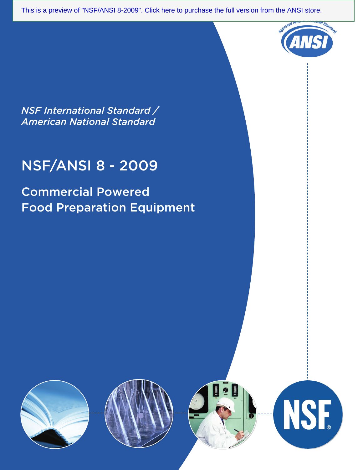

*NSF International Standard / American National Standard*

# NSF/ANSI 8 - 2009

Commercial Powered Food Preparation Equipment





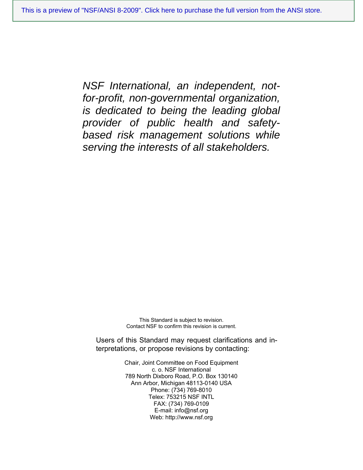*NSF International, an independent, notfor-profit, non-governmental organization, is dedicated to being the leading global provider of public health and safetybased risk management solutions while serving the interests of all stakeholders.* 

> This Standard is subject to revision. Contact NSF to confirm this revision is current.

Users of this Standard may request clarifications and interpretations, or propose revisions by contacting:

> Chair, Joint Committee on Food Equipment c. o. NSF International 789 North Dixboro Road, P.O. Box 130140 Ann Arbor, Michigan 48113-0140 USA Phone: (734) 769-8010 Telex: 753215 NSF INTL FAX: (734) 769-0109 E-mail: info@nsf.org Web: http://www.nsf.org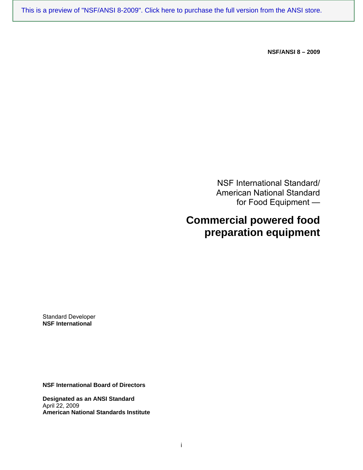**NSF/ANSI 8 – 2009**

NSF International Standard/ American National Standard for Food Equipment —

## **Commercial powered food preparation equipment**

Standard Developer **NSF International** 

**NSF International Board of Directors** 

**Designated as an ANSI Standard**  April 22, 2009 **American National Standards Institute**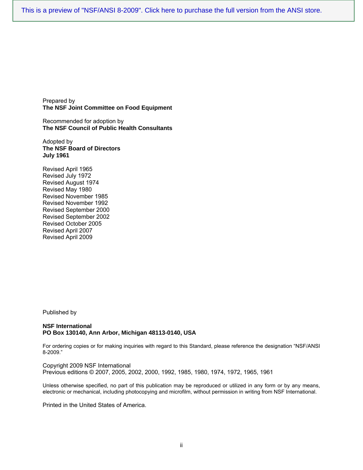Prepared by **The NSF Joint Committee on Food Equipment** 

Recommended for adoption by **The NSF Council of Public Health Consultants** 

Adopted by **The NSF Board of Directors July 1961** 

Revised April 1965 Revised July 1972 Revised August 1974 Revised May 1980 Revised November 1985 Revised November 1992 Revised September 2000 Revised September 2002 Revised October 2005 Revised April 2007 Revised April 2009

Published by

### **NSF International PO Box 130140, Ann Arbor, Michigan 48113-0140, USA**

For ordering copies or for making inquiries with regard to this Standard, please reference the designation "NSF/ANSI 8-2009."

Copyright 2009 NSF International Previous editions © 2007, 2005, 2002, 2000, 1992, 1985, 1980, 1974, 1972, 1965, 1961

Unless otherwise specified, no part of this publication may be reproduced or utilized in any form or by any means, electronic or mechanical, including photocopying and microfilm, without permission in writing from NSF International.

Printed in the United States of America.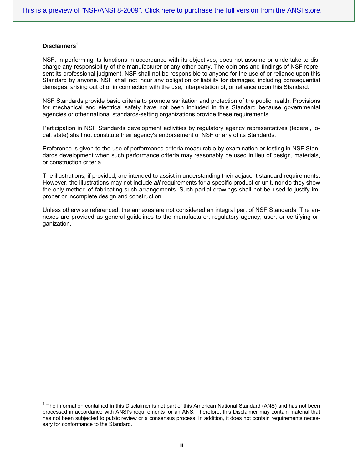### **Disclaimers**<sup>1</sup>

NSF, in performing its functions in accordance with its objectives, does not assume or undertake to discharge any responsibility of the manufacturer or any other party. The opinions and findings of NSF represent its professional judgment. NSF shall not be responsible to anyone for the use of or reliance upon this Standard by anyone. NSF shall not incur any obligation or liability for damages, including consequential damages, arising out of or in connection with the use, interpretation of, or reliance upon this Standard.

NSF Standards provide basic criteria to promote sanitation and protection of the public health. Provisions for mechanical and electrical safety have not been included in this Standard because governmental agencies or other national standards-setting organizations provide these requirements.

Participation in NSF Standards development activities by regulatory agency representatives (federal, local, state) shall not constitute their agency's endorsement of NSF or any of its Standards.

Preference is given to the use of performance criteria measurable by examination or testing in NSF Standards development when such performance criteria may reasonably be used in lieu of design, materials, or construction criteria.

The illustrations, if provided, are intended to assist in understanding their adjacent standard requirements. However, the illustrations may not include *all* requirements for a specific product or unit, nor do they show the only method of fabricating such arrangements. Such partial drawings shall not be used to justify improper or incomplete design and construction.

Unless otherwise referenced, the annexes are not considered an integral part of NSF Standards. The annexes are provided as general guidelines to the manufacturer, regulatory agency, user, or certifying organization.

<sup>1&</sup>lt;br><sup>1</sup> The information contained in this Disclaimer is not part of this American National Standard (ANS) and has not been processed in accordance with ANSI's requirements for an ANS. Therefore, this Disclaimer may contain material that has not been subjected to public review or a consensus process. In addition, it does not contain requirements necessary for conformance to the Standard.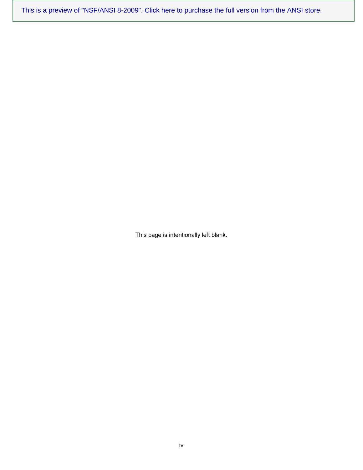This page is intentionally left blank.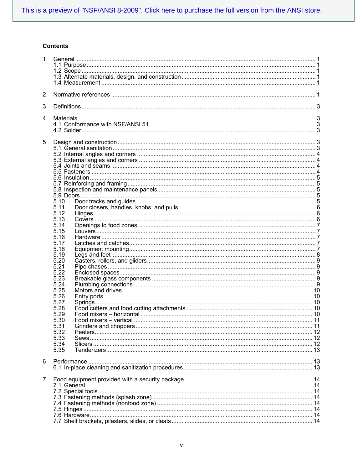### **Contents**

| 1              |                                                                                                                                                                                                              |  |
|----------------|--------------------------------------------------------------------------------------------------------------------------------------------------------------------------------------------------------------|--|
| $\overline{2}$ |                                                                                                                                                                                                              |  |
| 3              |                                                                                                                                                                                                              |  |
| 4              |                                                                                                                                                                                                              |  |
| 5              | 5.10<br>5.11<br>5.12<br>5.13<br>5.14<br>5.15<br>5.16<br>5.17<br>5.18<br>5.19<br>5.20<br>5.21<br>5.22<br>5.23<br>5.24<br>5.25<br>5.26<br>5.27<br>5.28<br>5.29<br>5.30<br>5.31<br>5.32<br>5.33<br>5.34<br>5.35 |  |
| 6              |                                                                                                                                                                                                              |  |
| 7              |                                                                                                                                                                                                              |  |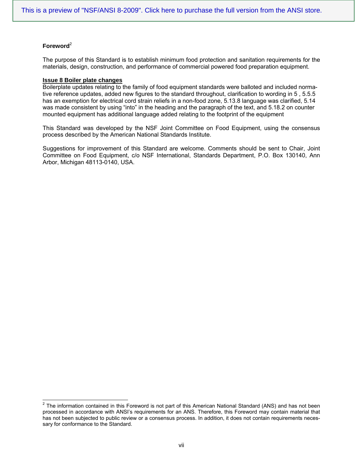### **Foreword**<sup>2</sup>

The purpose of this Standard is to establish minimum food protection and sanitation requirements for the materials, design, construction, and performance of commercial powered food preparation equipment.

### **Issue 8 Boiler plate changes**

Boilerplate updates relating to the family of food equipment standards were balloted and included normative reference updates, added new figures to the standard throughout, clarification to wording in 5 , 5.5.5 has an exemption for electrical cord strain reliefs in a non-food zone, 5.13.8 language was clarified, 5.14 was made consistent by using "into" in the heading and the paragraph of the text, and 5.18.2 on counter mounted equipment has additional language added relating to the footprint of the equipment

This Standard was developed by the NSF Joint Committee on Food Equipment, using the consensus process described by the American National Standards Institute.

Suggestions for improvement of this Standard are welcome. Comments should be sent to Chair, Joint Committee on Food Equipment, c/o NSF International, Standards Department, P.O. Box 130140, Ann Arbor, Michigan 48113-0140, USA.

 2 The information contained in this Foreword is not part of this American National Standard (ANS) and has not been processed in accordance with ANSI's requirements for an ANS. Therefore, this Foreword may contain material that has not been subjected to public review or a consensus process. In addition, it does not contain requirements necessary for conformance to the Standard.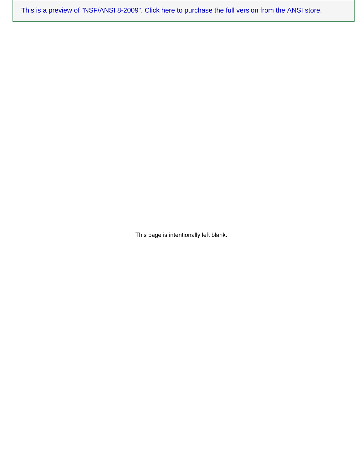This page is intentionally left blank.